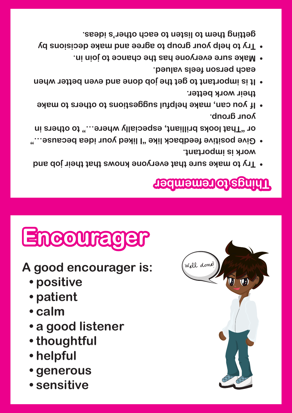- **• sensitive**
- **• generous**
- **• helpful**
- **• thoughtful**
- **• a good listener**
- **• calm**
- **• patient**
- **• positive**
- **A good encourager is:**





- **Try to make sure that everyone knows that their job and •**
- **work is important. Give positive feedback like "I liked your idea because…" • or "That looks brilliant, especially where…" to others in**
- **your group. If you can, make helpful suggestions to others to make • their work better.**
- **It is important to get the job done and even better when • each person feels valued.**
- **Make sure everyone has the chance to join in. •**
- **Try to help your group to agree and make decisions by •**

**getting them to listen to each other's ideas.**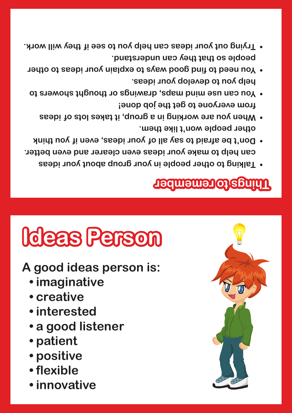- **people so that they can understand. Trying out your ideas can help you to see if they will work. •**
- **help you to develop your ideas. You need to find good ways to explain your ideas to other •**
- **from everyone to get the job done! Vou can use mind maps, drawings or thought showers to set of the showers to reduce to show that show**  $\alpha$ 
	- **other people won't like them. When you are working in a group, it takes lots of ideas •**
- **can help to make your ideas even clearer and even better. Don't be afraid to say all of your ideas, even if you think •**
	- **Talking to other people in your group about your ideas •**

## **Ideas Person**

#### **A good ideas person is:**

- **• imaginative**
- **• creative**
- **• interested**
- **• a good listener**
- **• patient**
- **• positive**
- **• flexible**
- **• innovative**

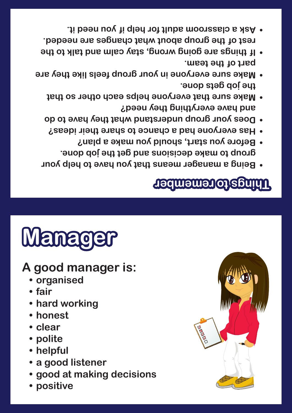- **• positive**
- **• good at making decisions**
- **• a good listener**
- **• helpful**
- **• polite**
- **• clear**
- 
- 
- 
- 
- **• honest**
- **• hard working**
- 
- **• fair**
- **A good manager is: • organised**

## **Manager**

#### **Things to remember**

- **Being a manager means that you have to help your • group to make decisions and get the job done. Before you start, should you make a plan? •**
- **Has everyone had a chance to share their ideas? •**
- **Does your group understand what they have to do • and have everything they need? Make sure that everyone helps each other so that •**
- **the job gets done. Make sure everyone in your group feels like they are •**
- **part of the team. If things are going wrong, stay calm and talk to the •**
- **rest of the group about what changes are needed. Ask a classroom adult for help if you need it. •**

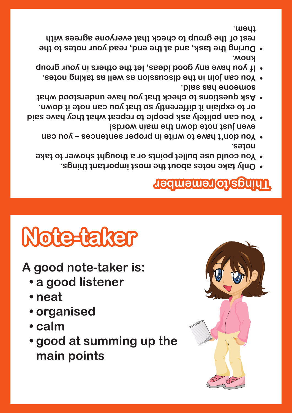

- **• calm**
- **• organised**
- 
- 
- **• neat**
- **Note-taker**

**A good note-taker is:**

**• a good listener**

## **Things to remember**

**notes. You don't have to write in proper sentences – you can •**

**You could use bullet points or a thought shower to take •**

**Only take notes about the most important things. •**

- **even just note down the main words! You can politely ask people to repeat what they have said • or to explain it differently so that you can note it down.**
- **Ask questions to check that you have understood what •**
- **someone has said. You can join in the discussion as well as taking notes. •**
- **If you have any good ideas, let the others in your group •**
- **know. During the task, and at the end, read your notes to the • rest of the group to check that everyone agrees with**

**them.**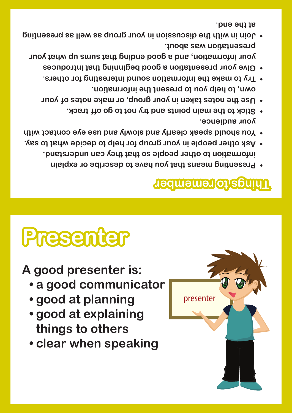

- **• good at explaining things to others**
- **• good at planning**
- **• a good communicator**
- 



# **Presenter**

#### **Things to remember**

presenter

- **Presenting means that you have to describe or explain •**
- **information to other people so that they can understand. Ask other people in your group for help to decide what to say. •**
- **Vou should speak clearly and slowly and use eye contact with**  $\theta$ **your audience.**
- **Stick to the main points and try not to go off track. •**
- **Use the notes taken in your group, or make notes of your •**
- **own, to help you to present the information. Try to make the information sound interesting for others. •**
- **Give your presentation a good beginning that introduces • your information, and a good ending that sums up what your presentation was about.**
- **Join in With the discussion in your group as well as presenting that**  $\theta$ **at the end.**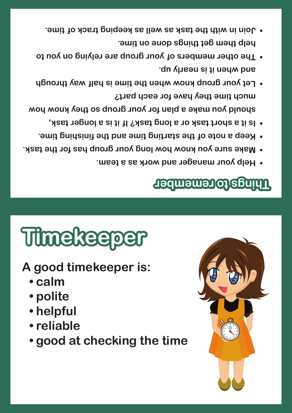- **help them get things done on time. Join in with the task as well as keeping track of time. •**
- **and when it is nearly up. The other members of your group are relying on you to \*\***
- **should you make a plan for your group so they know how much time they have for each part? Let your group know when the time is half way through •**
	- **Is it a short task or a long task? If it is a longer task, •**
	- **Keep a note of the starting time and the finishing time. •**
- **Make sure you know how long your group has for the task. •**
	- **Help your manager and work as a team. •**

# **Timekeeper**

- **A good timekeeper is:**
	- **• calm**
	- **• polite**
	- **• helpful**
	- **• reliable**
	- **• good at checking the time**